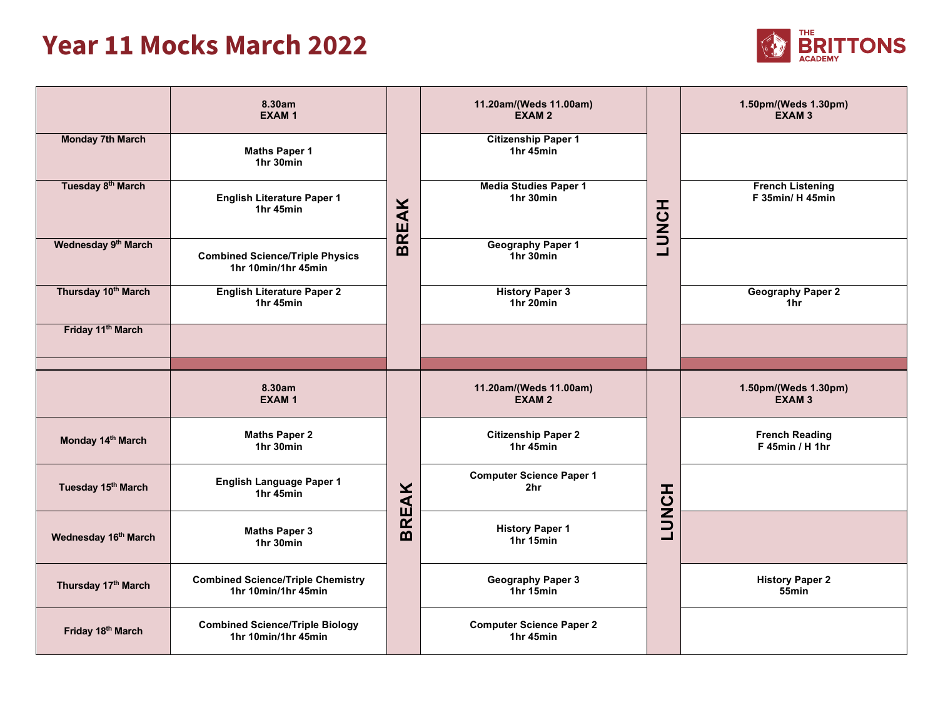## **Year 11 Mocks March 2022**



|                                 | 8.30am<br><b>EXAM1</b>                                          |              | 11.20am/(Weds 11.00am)<br><b>EXAM2</b>             |              | 1.50pm/(Weds 1.30pm)<br><b>EXAM3</b>        |
|---------------------------------|-----------------------------------------------------------------|--------------|----------------------------------------------------|--------------|---------------------------------------------|
| <b>Monday 7th March</b>         | <b>Maths Paper 1</b><br>1hr 30min                               |              | <b>Citizenship Paper 1</b><br>1hr 45min            |              |                                             |
| Tuesday 8 <sup>th</sup> March   | <b>English Literature Paper 1</b><br>1hr 45min                  | <b>BREAK</b> | <b>Media Studies Paper 1</b><br>1hr 30min          | <b>HONOT</b> | <b>French Listening</b><br>F 35min/ H 45min |
| Wednesday 9 <sup>th</sup> March | <b>Combined Science/Triple Physics</b><br>1hr 10min/1hr 45min   |              | <b>Geography Paper 1</b><br>1hr 30min              |              |                                             |
| Thursday 10th March             | <b>English Literature Paper 2</b><br>1hr 45min                  |              | <b>History Paper 3</b><br>1hr 20min                |              | <b>Geography Paper 2</b><br>1hr             |
| Friday 11 <sup>th</sup> March   |                                                                 |              |                                                    |              |                                             |
|                                 |                                                                 |              |                                                    |              |                                             |
|                                 | 8.30am<br><b>EXAM1</b>                                          |              | 11.20am/(Weds 11.00am)<br>EXAM <sub>2</sub>        |              | 1.50pm/(Weds 1.30pm)<br><b>EXAM3</b>        |
| Monday 14th March               | <b>Maths Paper 2</b><br>1hr 30min                               |              | <b>Citizenship Paper 2</b><br>1hr 45min            |              | <b>French Reading</b><br>$F$ 45min / H 1hr  |
| Tuesday 15th March              | <b>English Language Paper 1</b><br>1hr 45min                    |              | <b>Computer Science Paper 1</b><br>2 <sub>hr</sub> |              |                                             |
| Wednesday 16th March            | <b>Maths Paper 3</b><br>1hr 30min                               | <b>BREAK</b> | <b>History Paper 1</b><br>1hr 15min                | <b>LUNCH</b> |                                             |
| Thursday 17th March             | <b>Combined Science/Triple Chemistry</b><br>1hr 10min/1hr 45min |              | <b>Geography Paper 3</b><br>1hr 15min              |              | <b>History Paper 2</b><br>55min             |